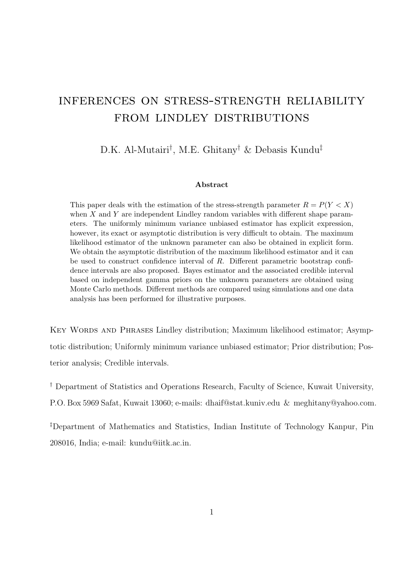# inferences on stress-strength reliability from lindley distributions

D.K. Al-Mutairi*†* , M.E. Ghitany*†* & Debasis Kundu*‡*

# **Abstract**

This paper deals with the estimation of the stress-strength parameter  $R = P(Y \leq X)$ when *X* and *Y* are independent Lindley random variables with different shape parameters. The uniformly minimum variance unbiased estimator has explicit expression, however, its exact or asymptotic distribution is very difficult to obtain. The maximum likelihood estimator of the unknown parameter can also be obtained in explicit form. We obtain the asymptotic distribution of the maximum likelihood estimator and it can be used to construct confidence interval of *R*. Different parametric bootstrap confidence intervals are also proposed. Bayes estimator and the associated credible interval based on independent gamma priors on the unknown parameters are obtained using Monte Carlo methods. Different methods are compared using simulations and one data analysis has been performed for illustrative purposes.

KEY WORDS AND PHRASES Lindley distribution; Maximum likelihood estimator; Asymptotic distribution; Uniformly minimum variance unbiased estimator; Prior distribution; Posterior analysis; Credible intervals.

*†* Department of Statistics and Operations Research, Faculty of Science, Kuwait University,

P.O. Box 5969 Safat, Kuwait 13060; e-mails: dhaif@stat.kuniv.edu & meghitany@yahoo.com.

*‡*Department of Mathematics and Statistics, Indian Institute of Technology Kanpur, Pin 208016, India; e-mail: kundu@iitk.ac.in.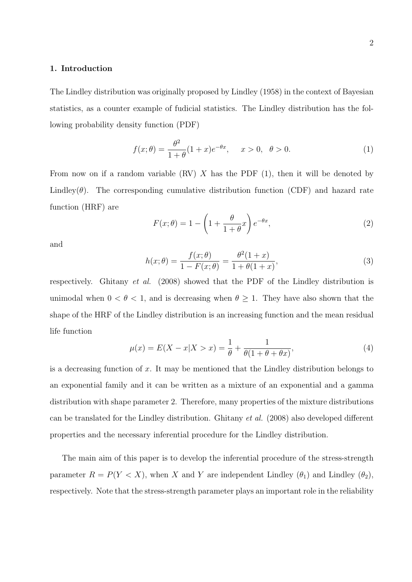# **1. Introduction**

The Lindley distribution was originally proposed by Lindley (1958) in the context of Bayesian statistics, as a counter example of fudicial statistics. The Lindley distribution has the following probability density function (PDF)

$$
f(x; \theta) = \frac{\theta^2}{1 + \theta} (1 + x)e^{-\theta x}, \quad x > 0, \ \theta > 0.
$$
 (1)

From now on if a random variable (RV) *X* has the PDF (1), then it will be denoted by Lindley $(\theta)$ . The corresponding cumulative distribution function (CDF) and hazard rate function (HRF) are

$$
F(x; \theta) = 1 - \left(1 + \frac{\theta}{1 + \theta} x\right) e^{-\theta x},\tag{2}
$$

and

$$
h(x; \theta) = \frac{f(x; \theta)}{1 - F(x; \theta)} = \frac{\theta^2 (1+x)}{1 + \theta (1+x)},
$$
\n(3)

respectively. Ghitany *et al.* (2008) showed that the PDF of the Lindley distribution is unimodal when  $0 < \theta < 1$ , and is decreasing when  $\theta \geq 1$ . They have also shown that the shape of the HRF of the Lindley distribution is an increasing function and the mean residual life function

$$
\mu(x) = E(X - x | X > x) = \frac{1}{\theta} + \frac{1}{\theta(1 + \theta + \theta x)},
$$
\n(4)

is a decreasing function of *x*. It may be mentioned that the Lindley distribution belongs to an exponential family and it can be written as a mixture of an exponential and a gamma distribution with shape parameter 2. Therefore, many properties of the mixture distributions can be translated for the Lindley distribution. Ghitany *et al.* (2008) also developed different properties and the necessary inferential procedure for the Lindley distribution.

The main aim of this paper is to develop the inferential procedure of the stress-strength parameter  $R = P(Y < X)$ , when *X* and *Y* are independent Lindley  $(\theta_1)$  and Lindley  $(\theta_2)$ , respectively. Note that the stress-strength parameter plays an important role in the reliability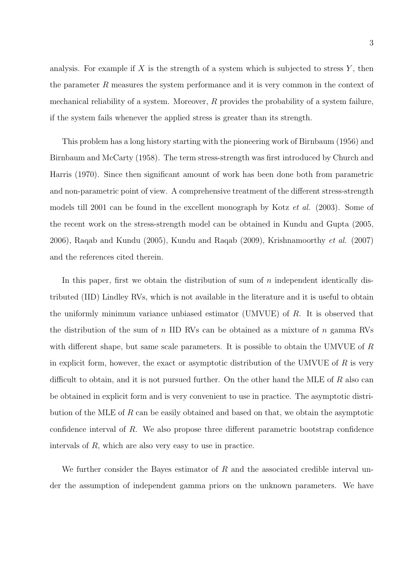analysis. For example if *X* is the strength of a system which is subjected to stress *Y* , then the parameter *R* measures the system performance and it is very common in the context of mechanical reliability of a system. Moreover, *R* provides the probability of a system failure, if the system fails whenever the applied stress is greater than its strength.

This problem has a long history starting with the pioneering work of Birnbaum (1956) and Birnbaum and McCarty (1958). The term stress-strength was first introduced by Church and Harris (1970). Since then significant amount of work has been done both from parametric and non-parametric point of view. A comprehensive treatment of the different stress-strength models till 2001 can be found in the excellent monograph by Kotz *et al.* (2003). Some of the recent work on the stress-strength model can be obtained in Kundu and Gupta (2005, 2006), Raqab and Kundu (2005), Kundu and Raqab (2009), Krishnamoorthy *et al.* (2007) and the references cited therein.

In this paper, first we obtain the distribution of sum of *n* independent identically distributed (IID) Lindley RVs, which is not available in the literature and it is useful to obtain the uniformly minimum variance unbiased estimator (UMVUE) of *R*. It is observed that the distribution of the sum of *n* IID RVs can be obtained as a mixture of *n* gamma RVs with different shape, but same scale parameters. It is possible to obtain the UMVUE of *R* in explicit form, however, the exact or asymptotic distribution of the UMVUE of *R* is very difficult to obtain, and it is not pursued further. On the other hand the MLE of *R* also can be obtained in explicit form and is very convenient to use in practice. The asymptotic distribution of the MLE of *R* can be easily obtained and based on that, we obtain the asymptotic confidence interval of *R*. We also propose three different parametric bootstrap confidence intervals of *R*, which are also very easy to use in practice.

We further consider the Bayes estimator of *R* and the associated credible interval under the assumption of independent gamma priors on the unknown parameters. We have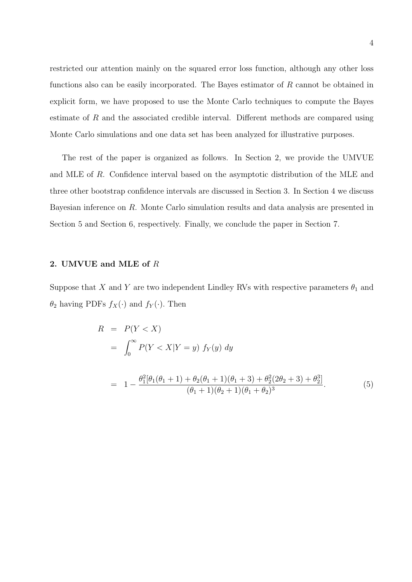restricted our attention mainly on the squared error loss function, although any other loss functions also can be easily incorporated. The Bayes estimator of *R* cannot be obtained in explicit form, we have proposed to use the Monte Carlo techniques to compute the Bayes estimate of *R* and the associated credible interval. Different methods are compared using Monte Carlo simulations and one data set has been analyzed for illustrative purposes.

The rest of the paper is organized as follows. In Section 2, we provide the UMVUE and MLE of *R*. Confidence interval based on the asymptotic distribution of the MLE and three other bootstrap confidence intervals are discussed in Section 3. In Section 4 we discuss Bayesian inference on *R*. Monte Carlo simulation results and data analysis are presented in Section 5 and Section 6, respectively. Finally, we conclude the paper in Section 7.

# **2. UMVUE and MLE of** *R*

Suppose that *X* and *Y* are two independent Lindley RVs with respective parameters  $\theta_1$  and  $\theta_2$  having PDFs  $f_X(\cdot)$  and  $f_Y(\cdot)$ . Then

$$
R = P(Y < X)
$$
  
=  $\int_0^\infty P(Y < X | Y = y) f_Y(y) dy$   
=  $1 - \frac{\theta_1^2 [\theta_1(\theta_1 + 1) + \theta_2(\theta_1 + 1)(\theta_1 + 3) + \theta_2^2 (2\theta_2 + 3) + \theta_2^3]}{(\theta_1 + 1)(\theta_2 + 1)(\theta_1 + \theta_2)^3}$ . (5)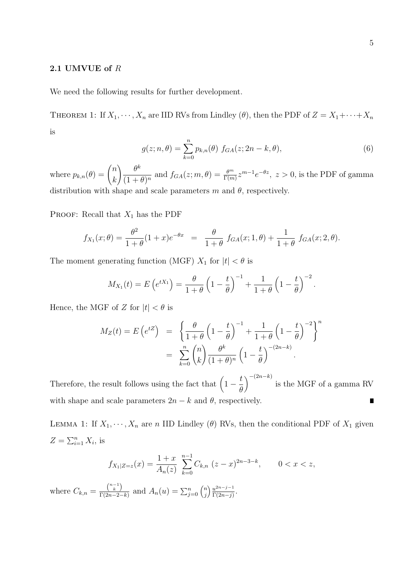# **2.1 UMVUE of** *R*

We need the following results for further development.

THEOREM 1: If  $X_1, \dots, X_n$  are IID RVs from Lindley ( $\theta$ ), then the PDF of  $Z = X_1 + \dots + X_n$ is

$$
g(z; n, \theta) = \sum_{k=0}^{n} p_{k,n}(\theta) f_{GA}(z; 2n - k, \theta),
$$
 (6)

where  $p_{k,n}(\theta) = \begin{pmatrix} n \\ n \end{pmatrix}$ *k*  $\bigwedge$  *θ*<sup>k</sup>  $\frac{\partial^m}{\partial (1 + \theta)^n}$  and  $f_{GA}(z; m, \theta) = \frac{\theta^m}{\Gamma(m)} z^{m-1} e^{-\theta z}, z > 0$ , is the PDF of gamma distribution with shape and scale parameters  $m$  and  $\theta$ , respectively.

PROOF: Recall that  $X_1$  has the PDF

$$
f_{X_1}(x; \theta) = \frac{\theta^2}{1+\theta}(1+x)e^{-\theta x} = \frac{\theta}{1+\theta} f_{GA}(x; 1, \theta) + \frac{1}{1+\theta} f_{GA}(x; 2, \theta).
$$

The moment generating function (MGF)  $X_1$  for  $|t| < \theta$  is

$$
M_{X_1}(t) = E\left(e^{tX_1}\right) = \frac{\theta}{1+\theta}\left(1-\frac{t}{\theta}\right)^{-1} + \frac{1}{1+\theta}\left(1-\frac{t}{\theta}\right)^{-2}.
$$

Hence, the MGF of *Z* for  $|t| < \theta$  is

$$
M_Z(t) = E\left(e^{tZ}\right) = \left\{\frac{\theta}{1+\theta}\left(1-\frac{t}{\theta}\right)^{-1} + \frac{1}{1+\theta}\left(1-\frac{t}{\theta}\right)^{-2}\right\}^n
$$

$$
= \sum_{k=0}^n {n \choose k} \frac{\theta^k}{(1+\theta)^n} \left(1-\frac{t}{\theta}\right)^{-(2n-k)}.
$$

)*−*(2*n−k*) Therefore, the result follows using the fact that  $(1$ *t* is the MGF of a gamma RV *θ* with shape and scale parameters  $2n - k$  and  $\theta$ , respectively. г

LEMMA 1: If  $X_1, \dots, X_n$  are *n* IID Lindley (*θ*) RVs, then the conditional PDF of  $X_1$  given  $Z = \sum_{i=1}^{n} X_i$ , is

$$
f_{X_1|Z=z}(x) = \frac{1+x}{A_n(z)} \sum_{k=0}^{n-1} C_{k,n} (z-x)^{2n-3-k}, \qquad 0 < x < z,
$$

where  $C_{k,n} = \frac{{\binom{n-1}{k}}}{{\Gamma(2n-2)}}$  $\frac{\binom{n-1}{k}}{\Gamma(2n-2-k)}$  and  $A_n(u) = \sum_{j=0}^n \binom{n}{j}$ *j* ) *u* 2*n−j−*1  $rac{u^{2n-j-1}}{\Gamma(2n-j)}$ .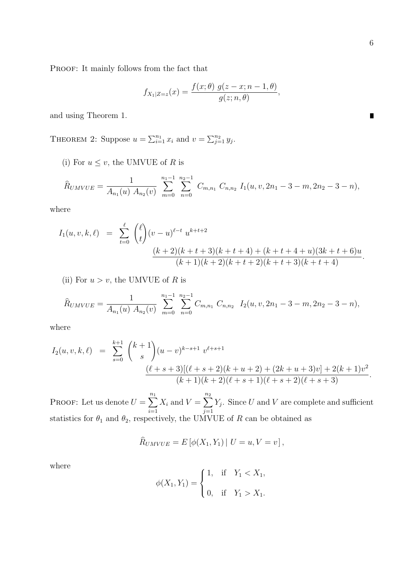$\blacksquare$ 

PROOF: It mainly follows from the fact that

$$
f_{X_1|Z=z}(x)=\frac{f(x;\theta)\,g(z-x;n-1,\theta)}{g(z;n,\theta)},
$$

and using Theorem 1.

THEOREM 2: Suppose  $u = \sum_{i=1}^{n_1} x_i$  and  $v = \sum_{j=1}^{n_2} y_j$ .

(i) For  $u \leq v$ , the UMVUE of *R* is

$$
\widehat{R}_{UMVUE} = \frac{1}{A_{n_1}(u) A_{n_2}(v)} \sum_{m=0}^{n_1-1} \sum_{n=0}^{n_2-1} C_{m,n_1} C_{n,n_2} I_1(u,v,2n_1-3-m,2n_2-3-n),
$$

where

$$
I_1(u, v, k, \ell) = \sum_{t=0}^{\ell} {\ell \choose t} (v - u)^{\ell-t} u^{k+t+2}
$$

$$
\frac{(k+2)(k+t+3)(k+t+4) + (k+t+4+u)(3k+t+6)u}{(k+1)(k+2)(k+t+2)(k+t+3)(k+t+4)}.
$$

(ii) For  $u > v$ , the UMVUE of *R* is

$$
\widehat{R}_{UMVUE} = \frac{1}{A_{n_1}(u) A_{n_2}(v)} \sum_{m=0}^{n_1-1} \sum_{n=0}^{n_2-1} C_{m,n_1} C_{n,n_2} I_2(u,v,2n_1-3-m,2n_2-3-n),
$$

where

$$
I_2(u, v, k, \ell) = \sum_{s=0}^{k+1} {k+1 \choose s} (u-v)^{k-s+1} v^{\ell+s+1}
$$

$$
\frac{(\ell+s+3)[(\ell+s+2)(k+u+2) + (2k+u+3)v] + 2(k+1)v^2}{(k+1)(k+2)(\ell+s+1)(\ell+s+2)(\ell+s+3)}.
$$

PROOF: Let us denote  $U = \sum_{n=1}^{n_1}$ *i*=1  $X_i$  and  $V = \sum^{n_2}$ *j*=1 *Yj* . Since *U* and *V* are complete and sufficient statistics for  $\theta_1$  and  $\theta_2$ , respectively, the UMVUE of *R* can be obtained as

$$
\widehat{R}_{UMVUE} = E\left[\phi(X_1, Y_1) \mid U = u, V = v\right],
$$

where

$$
\phi(X_1, Y_1) = \begin{cases} 1, & \text{if } Y_1 < X_1, \\ 0, & \text{if } Y_1 > X_1. \end{cases}
$$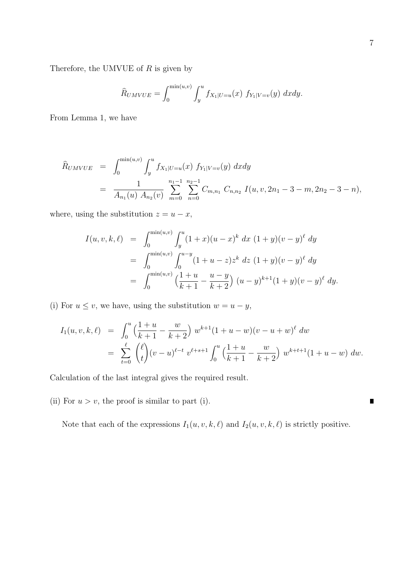Therefore, the UMVUE of *R* is given by

$$
\widehat{R}_{UMVUE} = \int_0^{\min(u,v)} \int_y^u f_{X_1|U=u}(x) f_{Y_1|V=v}(y) dx dy.
$$

From Lemma 1, we have

$$
\widehat{R}_{UMVUE} = \int_0^{\min(u,v)} \int_y^u f_{X_1|U=u}(x) f_{Y_1|V=v}(y) dx dy
$$
  
= 
$$
\frac{1}{A_{n_1}(u) A_{n_2}(v)} \sum_{m=0}^{n_1-1} \sum_{n=0}^{n_2-1} C_{m,n_1} C_{n,n_2} I(u,v, 2n_1 - 3 - m, 2n_2 - 3 - n),
$$

where, using the substitution  $z = u - x$ ,

$$
I(u, v, k, \ell) = \int_0^{\min(u, v)} \int_y^u (1+x)(u-x)^k dx (1+y)(v-y)^{\ell} dy
$$
  
= 
$$
\int_0^{\min(u, v)} \int_0^{u-y} (1+u-z)z^k dz (1+y)(v-y)^{\ell} dy
$$
  
= 
$$
\int_0^{\min(u, v)} \left(\frac{1+u}{k+1} - \frac{u-y}{k+2}\right) (u-y)^{k+1} (1+y)(v-y)^{\ell} dy.
$$

(i) For  $u \leq v$ , we have, using the substitution  $w = u - y$ ,

$$
I_1(u, v, k, \ell) = \int_0^u \left(\frac{1+u}{k+1} - \frac{w}{k+2}\right) w^{k+1} (1+u-w)(v-u+w)^{\ell} dw
$$
  
= 
$$
\sum_{t=0}^{\ell} {\ell \choose t} (v-u)^{\ell-t} v^{\ell+s+1} \int_0^u \left(\frac{1+u}{k+1} - \frac{w}{k+2}\right) w^{k+t+1} (1+u-w) dw.
$$

Calculation of the last integral gives the required result.

(ii) For  $u > v$ , the proof is similar to part (i).

Note that each of the expressions  $I_1(u, v, k, \ell)$  and  $I_2(u, v, k, \ell)$  is strictly positive.

 $\blacksquare$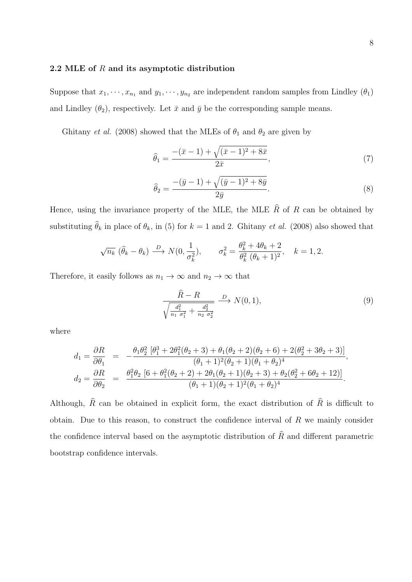# **2.2 MLE of** *R* **and its asymptotic distribution**

Suppose that  $x_1, \dots, x_{n_1}$  and  $y_1, \dots, y_{n_2}$  are independent random samples from Lindley  $(\theta_1)$ and Lindley  $(\theta_2)$ , respectively. Let  $\bar{x}$  and  $\bar{y}$  be the corresponding sample means.

Ghitany *et al.* (2008) showed that the MLEs of  $\theta_1$  and  $\theta_2$  are given by

$$
\hat{\theta}_1 = \frac{-(\bar{x} - 1) + \sqrt{(\bar{x} - 1)^2 + 8\bar{x}}}{2\bar{x}},\tag{7}
$$

$$
\hat{\theta}_2 = \frac{-(\bar{y}-1) + \sqrt{(\bar{y}-1)^2 + 8\bar{y}}}{2\bar{y}}.
$$
\n(8)

Hence, using the invariance property of the MLE, the MLE  $\hat{R}$  of  $R$  can be obtained by substituting  $\hat{\theta}_k$  in place of  $\theta_k$ , in (5) for  $k = 1$  and 2. Ghitany *et al.* (2008) also showed that

$$
\sqrt{n_k} \; (\hat{\theta}_k - \theta_k) \xrightarrow{D} N(0, \frac{1}{\sigma_k^2}), \qquad \sigma_k^2 = \frac{\theta_k^2 + 4\theta_k + 2}{\theta_k^2 \; (\theta_k + 1)^2}, \quad k = 1, 2.
$$

Therefore, it easily follows as  $n_1 \rightarrow \infty$  and  $n_2 \rightarrow \infty$  that

$$
\frac{\hat{R} - R}{\sqrt{\frac{d_1^2}{n_1 \sigma_1^2} + \frac{d_2^2}{n_2 \sigma_2^2}}} \xrightarrow{D} N(0, 1),
$$
\n(9)

where

$$
\begin{array}{rcl} d_1=\dfrac{\partial R}{\partial \theta_1}&=&-\dfrac{\theta_1\theta_2^2\left[\theta_1^3+2\theta_1^2(\theta_2+3)+\theta_1(\theta_2+2)(\theta_2+6)+2(\theta_2^2+3\theta_2+3)\right]}{(\theta_1+1)^2(\theta_2+1)(\theta_1+\theta_2)^4},\\ d_2=\dfrac{\partial R}{\partial \theta_2}&=&\dfrac{\theta_1^2\theta_2\left[6+\theta_1^2(\theta_2+2)+2\theta_1(\theta_2+1)(\theta_2+3)+\theta_2(\theta_2^2+6\theta_2+12)\right]}{(\theta_1+1)(\theta_2+1)^2(\theta_1+\theta_2)^4}. \end{array}
$$

Although,  $\hat{R}$  can be obtained in explicit form, the exact distribution of  $\hat{R}$  is difficult to obtain. Due to this reason, to construct the confidence interval of *R* we mainly consider the confidence interval based on the asymptotic distribution of  $\hat{R}$  and different parametric bootstrap confidence intervals.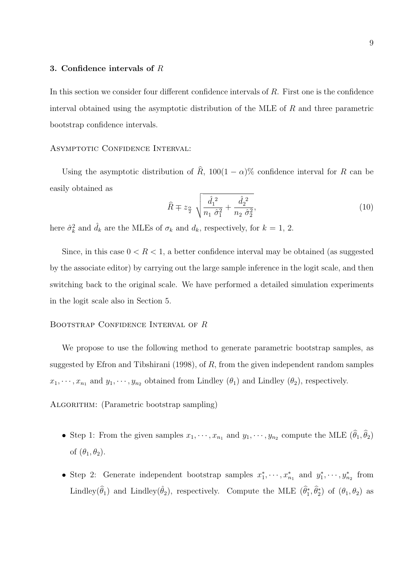#### **3. Confidence intervals of** *R*

In this section we consider four different confidence intervals of *R*. First one is the confidence interval obtained using the asymptotic distribution of the MLE of *R* and three parametric bootstrap confidence intervals.

# ASYMPTOTIC CONFIDENCE INTERVAL:

Using the asymptotic distribution of  $\hat{R}$ , 100(1 *−*  $\alpha$ )% confidence interval for *R* can be easily obtained as

$$
\hat{R} \mp z_{\frac{\alpha}{2}} \sqrt{\frac{\hat{d}_1^2}{n_1 \hat{\sigma}_1^2} + \frac{\hat{d}_2^2}{n_2 \hat{\sigma}_2^2}},\tag{10}
$$

here  $\hat{\sigma}_k^2$  and  $\hat{d}_k$  are the MLEs of  $\sigma_k$  and  $d_k$ , respectively, for  $k = 1, 2$ .

Since, in this case  $0 < R < 1$ , a better confidence interval may be obtained (as suggested by the associate editor) by carrying out the large sample inference in the logit scale, and then switching back to the original scale. We have performed a detailed simulation experiments in the logit scale also in Section 5.

# Bootstrap Confidence Interval of *R*

We propose to use the following method to generate parametric bootstrap samples, as suggested by Efron and Tibshirani (1998), of *R*, from the given independent random samples  $x_1, \dots, x_{n_1}$  and  $y_1, \dots, y_{n_2}$  obtained from Lindley  $(\theta_1)$  and Lindley  $(\theta_2)$ , respectively.

ALGORITHM: (Parametric bootstrap sampling)

- Step 1: From the given samples  $x_1, \dots, x_{n_1}$  and  $y_1, \dots, y_{n_2}$  compute the MLE  $(\theta_1, \theta_2)$ of  $(\theta_1, \theta_2)$ .
- Step 2: Generate independent bootstrap samples  $x_1^*, \dots, x_{n_1}^*$  and  $y_1^*, \dots, y_{n_2}^*$  from Lindley( $\hat{\theta}_1$ ) and Lindley( $\hat{\theta}_2$ ), respectively. Compute the MLE ( $\hat{\theta}_1^*, \hat{\theta}_2^*$ ) of ( $\theta_1, \theta_2$ ) as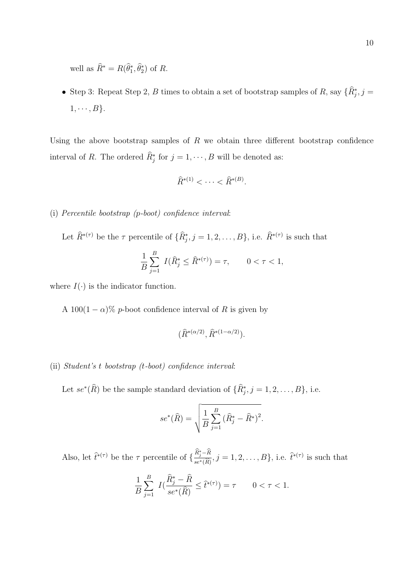well as  $R^* = R(\theta_1^*, \theta_2^*)$  of  $R$ .

• Step 3: Repeat Step 2, *B* times to obtain a set of bootstrap samples of *R*, say  $\{R_j^*, j =$  $1, \cdots, B$  $}.$ 

Using the above bootstrap samples of *R* we obtain three different bootstrap confidence interval of *R*. The ordered  $R_j^*$  for  $j = 1, \dots, B$  will be denoted as:

$$
\widehat{R}^{*(1)} < \cdots < \widehat{R}^{*(B)}.
$$

- (i) *Percentile bootstrap (p-boot) confidence interval*:
	- Let  $\widehat{R}^{*(\tau)}$  be the  $\tau$  percentile of  $\{\widehat{R}^*_{j}, j = 1, 2, \ldots, B\}$ , i.e.  $\widehat{R}^{*(\tau)}$  is such that

$$
\frac{1}{B} \sum_{j=1}^{B} I(\hat{R}_{j}^{*} \leq \hat{R}^{*(\tau)}) = \tau, \qquad 0 < \tau < 1,
$$

where  $I(\cdot)$  is the indicator function.

A 100(1  $-\alpha$ )% *p*-boot confidence interval of *R* is given by

$$
(\widehat{R}^{*(\alpha/2)}, \widehat{R}^{*(1-\alpha/2)}).
$$

#### (ii) *Student's t bootstrap (t-boot) confidence interval*:

Let  $se^*(R)$  be the sample standard deviation of  $\{R_j^*, j = 1, 2, \ldots, B\}$ , i.e.

$$
se^*(\hat{R}) = \sqrt{\frac{1}{B} \sum_{j=1}^{B} (\hat{R}_j^* - \hat{R}^*)^2}.
$$

Also, let  $\hat{t}^{*(\tau)}$  be the  $\tau$  percentile of  $\{\frac{R_j^*-R}{\sigma^*(\hat{R})}$  $\frac{R_j - R}{se^*(\widehat{R})}, j = 1, 2, ..., B\},$  i.e.  $\widehat{t}^{*(\tau)}$  is such that

$$
\frac{1}{B} \sum_{j=1}^{B} I(\frac{\hat{R}_j^* - \hat{R}}{se^*(\hat{R})} \le \hat{t}^{*(\tau)}) = \tau \qquad 0 < \tau < 1.
$$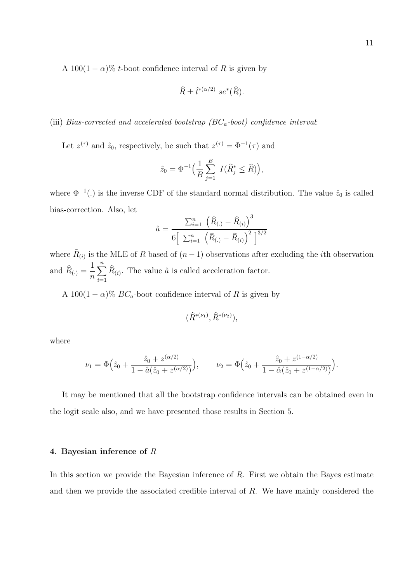A 100(1  $-\alpha$ )% *t*-boot confidence interval of *R* is given by

$$
\widehat{R} \pm \widehat{t}^{*(\alpha/2)} \ s e^*(\widehat{R}).
$$

# (iii) *Bias-corrected and accelerated bootstrap (BCa-boot) confidence interval*:

Let  $z^{(\tau)}$  and  $\hat{z}_0$ , respectively, be such that  $z^{(\tau)} = \Phi^{-1}(\tau)$  and

$$
\hat{z}_0 = \Phi^{-1}\Big(\frac{1}{B}\sum_{j=1}^B I(\hat{R}_j^* \leq \hat{R})\Big),
$$

where  $\Phi^{-1}(.)$  is the inverse CDF of the standard normal distribution. The value  $\hat{z}_0$  is called bias-correction. Also, let

$$
\hat{a} = \frac{\sum_{i=1}^{n} (\hat{R}_{(.)} - \hat{R}_{(i)})^3}{6\left[\sum_{i=1}^{n} (\hat{R}_{(.)} - \hat{R}_{(i)})^2\right]^{3/2}}
$$

where  $R_{(i)}$  is the MLE of R based of  $(n-1)$  observations after excluding the *i*th observation and  $R_{(\cdot)} =$ 1 *n* ∑*n i*=1  $R_{(i)}$ . The value  $\hat{a}$  is called acceleration factor.

A 100(1  $-\alpha$ )% *BC*<sub>*a*</sub>-boot confidence interval of *R* is given by

$$
(\widehat{R}^{*(\nu_1)}, \widehat{R}^{*(\nu_2)}),
$$

where

$$
\nu_1 = \Phi\Big(\hat{z}_0 + \frac{\hat{z}_0 + z^{(\alpha/2)}}{1 - \hat{a}(\hat{z}_0 + z^{(\alpha/2)})}\Big), \qquad \nu_2 = \Phi\Big(\hat{z}_0 + \frac{\hat{z}_0 + z^{(1-\alpha/2)}}{1 - \hat{a}(\hat{z}_0 + z^{(1-\alpha/2)})}\Big).
$$

It may be mentioned that all the bootstrap confidence intervals can be obtained even in the logit scale also, and we have presented those results in Section 5.

# **4. Bayesian inference of** *R*

In this section we provide the Bayesian inference of *R*. First we obtain the Bayes estimate and then we provide the associated credible interval of *R*. We have mainly considered the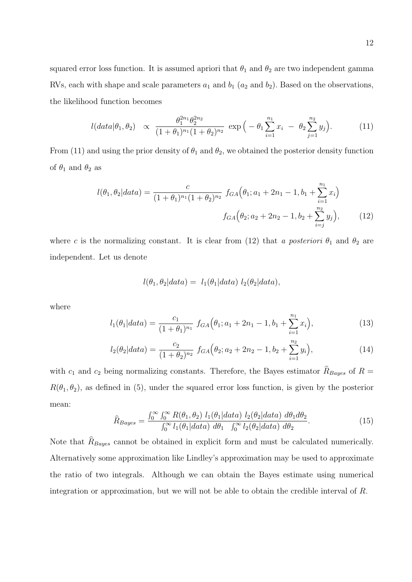squared error loss function. It is assumed apriori that  $\theta_1$  and  $\theta_2$  are two independent gamma RVs, each with shape and scale parameters  $a_1$  and  $b_1$  ( $a_2$  and  $b_2$ ). Based on the observations, the likelihood function becomes

$$
l(data|\theta_1, \theta_2) \propto \frac{\theta_1^{2n_1} \theta_2^{2n_2}}{(1+\theta_1)^{n_1}(1+\theta_2)^{n_2}} \exp\left(-\theta_1 \sum_{i=1}^{n_1} x_i - \theta_2 \sum_{j=1}^{n_2} y_j\right).
$$
 (11)

From (11) and using the prior density of  $\theta_1$  and  $\theta_2$ , we obtained the posterior density function of  $\theta_1$  and  $\theta_2$  as

$$
l(\theta_1, \theta_2 | data) = \frac{c}{(1 + \theta_1)^{n_1} (1 + \theta_2)^{n_2}} f_{GA}(\theta_1; a_1 + 2n_1 - 1, b_1 + \sum_{i=1}^{n_1} x_i)
$$

$$
f_{GA}(\theta_2; a_2 + 2n_2 - 1, b_2 + \sum_{i=j}^{n_2} y_j), \qquad (12)
$$

where *c* is the normalizing constant. It is clear from (12) that *a posteriori*  $\theta_1$  and  $\theta_2$  are independent. Let us denote

$$
l(\theta_1, \theta_2|data) = l_1(\theta_1|data) l_2(\theta_2|data),
$$

where

$$
l_1(\theta_1|data) = \frac{c_1}{(1+\theta_1)^{n_1}} f_{GA}(\theta_1; a_1+2n_1-1, b_1+\sum_{i=1}^{n_1} x_i),
$$
\n(13)

$$
l_2(\theta_2|data) = \frac{c_2}{(1+\theta_2)^{n_2}} f_{GA}(\theta_2; a_2+2n_2-1, b_2+\sum_{i=1}^{n_2} y_i),
$$
\n(14)

with  $c_1$  and  $c_2$  being normalizing constants. Therefore, the Bayes estimator  $R_{Bayes}$  of  $R =$  $R(\theta_1, \theta_2)$ , as defined in (5), under the squared error loss function, is given by the posterior mean:

$$
\widehat{R}_{Bayes} = \frac{\int_0^\infty \int_0^\infty R(\theta_1, \theta_2) l_1(\theta_1 | data) l_2(\theta_2 | data) d\theta_1 d\theta_2}{\int_0^\infty l_1(\theta_1 | data) d\theta_1 \int_0^\infty l_2(\theta_2 | data) d\theta_2}.
$$
\n(15)

Note that  $R_{Bayes}$  cannot be obtained in explicit form and must be calculated numerically. Alternatively some approximation like Lindley's approximation may be used to approximate the ratio of two integrals. Although we can obtain the Bayes estimate using numerical integration or approximation, but we will not be able to obtain the credible interval of *R*.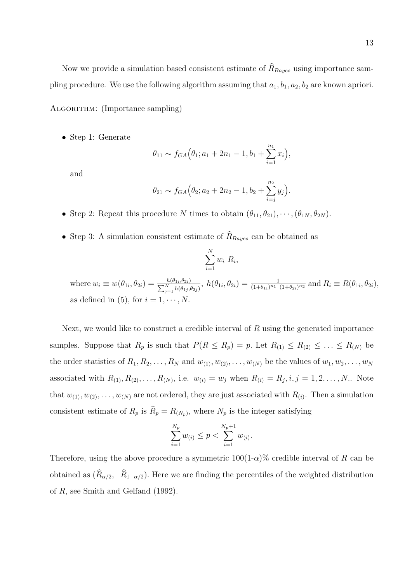Now we provide a simulation based consistent estimate of  $R_{Bayes}$  using importance sampling procedure. We use the following algorithm assuming that  $a_1, b_1, a_2, b_2$  are known apriori.

ALGORITHM: (Importance sampling)

*•* Step 1: Generate

$$
\theta_{11} \sim f_{GA}(\theta_1; a_1 + 2n_1 - 1, b_1 + \sum_{i=1}^{n_1} x_i),
$$

and

$$
\theta_{21} \sim f_{GA}(\theta_2; a_2 + 2n_2 - 1, b_2 + \sum_{i=j}^{n_2} y_j).
$$

- Step 2: Repeat this procedure *N* times to obtain  $(\theta_{11}, \theta_{21}), \cdots, (\theta_{1N}, \theta_{2N})$ .
- Step 3: A simulation consistent estimate of  $R_{Bayes}$  can be obtained as

$$
\sum_{i=1}^{N} w_i R_i,
$$

where  $w_i \equiv w(\theta_{1i}, \theta_{2i}) = \frac{h(\theta_{1i}, \theta_{2i})}{\sum_{j=1}^{N} h(\theta_{1j}, \theta_{2j})}$ ,  $h(\theta_{1i}, \theta_{2i}) = \frac{1}{(1 + \theta_{1i})^{n_1} (1 + \theta_{2i})^{n_2}}$  and  $R_i \equiv R(\theta_{1i}, \theta_{2i})$ , as defined in (5), for  $i = 1, \dots, N$ .

Next, we would like to construct a credible interval of *R* using the generated importance samples. Suppose that  $R_p$  is such that  $P(R \le R_p) = p$ . Let  $R_{(1)} \le R_{(2)} \le \ldots \le R_{(N)}$  be the order statistics of  $R_1, R_2, \ldots, R_N$  and  $w_{(1)}, w_{(2)}, \ldots, w_{(N)}$  be the values of  $w_1, w_2, \ldots, w_N$ associated with  $R_{(1)}, R_{(2)}, \ldots, R_{(N)}$ , i.e.  $w_{(i)} = w_j$  when  $R_{(i)} = R_j, i, j = 1, 2, \ldots, N$ .. Note that  $w_{(1)}, w_{(2)}, \ldots, w_{(N)}$  are not ordered, they are just associated with  $R_{(i)}$ . Then a simulation consistent estimate of  $R_p$  is  $R_p = R_{(N_p)}$ , where  $N_p$  is the integer satisfying

$$
\sum_{i=1}^{N_p} w_{(i)} \le p < \sum_{i=1}^{N_p+1} w_{(i)}.
$$

Therefore, using the above procedure a symmetric  $100(1-\alpha)\%$  credible interval of *R* can be obtained as  $(R_{\alpha/2}, R_{1-\alpha/2})$ . Here we are finding the percentiles of the weighted distribution of *R,* see Smith and Gelfand (1992).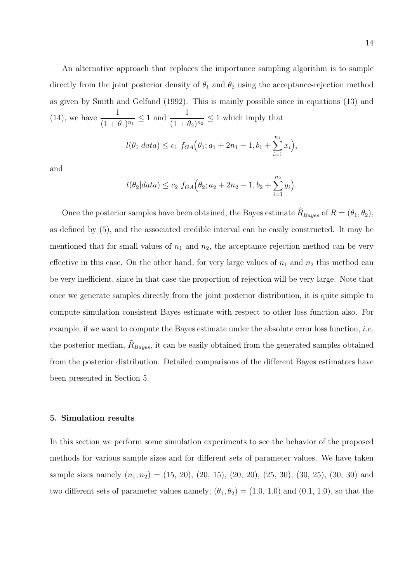An alternative approach that replaces the importance sampling algorithm is to sample directly from the joint posterior density of  $\theta_1$  and  $\theta_2$  using the acceptance-rejection method as given by Smith and Gelfand (1992). This is mainly possible since in equations (13) and  $(14)$ , we have  $\frac{1}{(1+1)}$  $\frac{1}{(1 + \theta_1)^{n_1}} \le 1$  and  $\frac{1}{(1 + \theta_1)^{n_1}}$  $\frac{1}{(1 + \theta_2)^{n_2}} \leq 1$  which imply that

$$
l(\theta_1|data) \le c_1 f_{GA}(\theta_1; a_1 + 2n_1 - 1, b_1 + \sum_{i=1}^{n_1} x_i),
$$

and

$$
l(\theta_2|data) \le c_2 f_{GA}(\theta_2; a_2 + 2n_2 - 1, b_2 + \sum_{i=1}^{n_2} y_i).
$$

Once the posterior samples have been obtained, the Bayes estimate  $R_{Bayes}$  of  $R = (\theta_1, \theta_2)$ , as defined by (5), and the associated credible interval can be easily constructed. It may be mentioned that for small values of  $n_1$  and  $n_2$ , the acceptance rejection method can be very effective in this case. On the other hand, for very large values of  $n_1$  and  $n_2$  this method can be very inefficient, since in that case the proportion of rejection will be very large. Note that once we generate samples directly from the joint posterior distribution, it is quite simple to compute simulation consistent Bayes estimate with respect to other loss function also. For example, if we want to compute the Bayes estimate under the absolute error loss function, *i.e.* the posterior median,  $\tilde{R}_{Bayes}$ , it can be easily obtained from the generated samples obtained from the posterior distribution. Detailed comparisons of the different Bayes estimators have been presented in Section 5.

#### **5. Simulation results**

In this section we perform some simulation experiments to see the behavior of the proposed methods for various sample sizes and for different sets of parameter values. We have taken sample sizes namely  $(n_1, n_2) = (15, 20), (20, 15), (20, 20), (25, 30), (30, 25), (30, 30)$  and two different sets of parameter values namely;  $(\theta_1, \theta_2) = (1.0, 1.0)$  and  $(0.1, 1.0)$ , so that the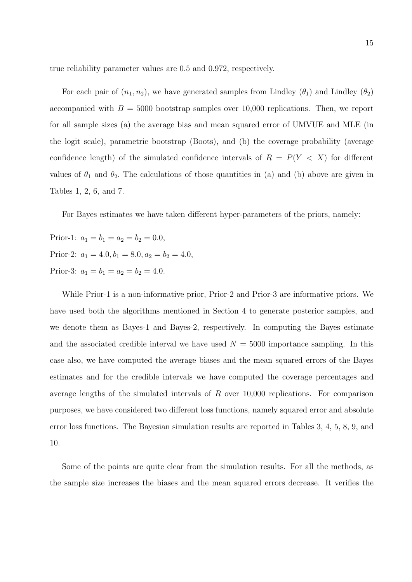true reliability parameter values are 0.5 and 0.972, respectively.

For each pair of  $(n_1, n_2)$ , we have generated samples from Lindley  $(\theta_1)$  and Lindley  $(\theta_2)$ accompanied with  $B = 5000$  bootstrap samples over 10,000 replications. Then, we report for all sample sizes (a) the average bias and mean squared error of UMVUE and MLE (in the logit scale), parametric bootstrap (Boots), and (b) the coverage probability (average confidence length) of the simulated confidence intervals of  $R = P(Y < X)$  for different values of  $\theta_1$  and  $\theta_2$ . The calculations of those quantities in (a) and (b) above are given in Tables 1, 2, 6, and 7.

For Bayes estimates we have taken different hyper-parameters of the priors, namely:

Prior-1:  $a_1 = b_1 = a_2 = b_2 = 0.0$ , Prior-2:  $a_1 = 4.0, b_1 = 8.0, a_2 = b_2 = 4.0,$ Prior-3:  $a_1 = b_1 = a_2 = b_2 = 4.0$ .

While Prior-1 is a non-informative prior, Prior-2 and Prior-3 are informative priors. We have used both the algorithms mentioned in Section 4 to generate posterior samples, and we denote them as Bayes-1 and Bayes-2, respectively. In computing the Bayes estimate and the associated credible interval we have used  $N = 5000$  importance sampling. In this case also, we have computed the average biases and the mean squared errors of the Bayes estimates and for the credible intervals we have computed the coverage percentages and average lengths of the simulated intervals of *R* over 10,000 replications. For comparison purposes, we have considered two different loss functions, namely squared error and absolute error loss functions. The Bayesian simulation results are reported in Tables 3, 4, 5, 8, 9, and 10.

Some of the points are quite clear from the simulation results. For all the methods, as the sample size increases the biases and the mean squared errors decrease. It verifies the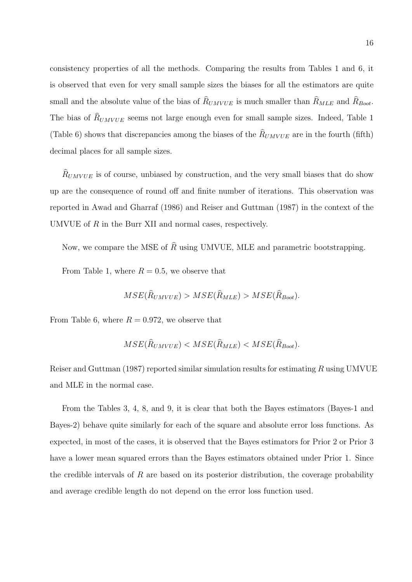consistency properties of all the methods. Comparing the results from Tables 1 and 6, it is observed that even for very small sample sizes the biases for all the estimators are quite small and the absolute value of the bias of  $R_{UMVUE}$  is much smaller than  $R_{MLE}$  and  $R_{boot}$ . The bias of  $R_{UMVUE}$  seems not large enough even for small sample sizes. Indeed, Table 1 (Table 6) shows that discrepancies among the biases of the  $R_{UMVUE}$  are in the fourth (fifth) decimal places for all sample sizes.

 $R_{UMVUE}$  is of course, unbiased by construction, and the very small biases that do show up are the consequence of round off and finite number of iterations. This observation was reported in Awad and Gharraf (1986) and Reiser and Guttman (1987) in the context of the UMVUE of *R* in the Burr XII and normal cases, respectively.

Now, we compare the MSE of  $\hat{R}$  using UMVUE, MLE and parametric bootstrapping.

From Table 1, where  $R = 0.5$ , we observe that

$$
MSE(\hat{R}_{UMVUE}) > MSE(\hat{R}_{MLE}) > MSE(\hat{R}_{Boot}).
$$

From Table 6, where  $R = 0.972$ , we observe that

$$
MSE(\hat{R}_{UMVUE}) < MSE(\hat{R}_{MLE}) < MSE(\hat{R}_{Boot}).
$$

Reiser and Guttman (1987) reported similar simulation results for estimating *R* using UMVUE and MLE in the normal case.

From the Tables 3, 4, 8, and 9, it is clear that both the Bayes estimators (Bayes-1 and Bayes-2) behave quite similarly for each of the square and absolute error loss functions. As expected, in most of the cases, it is observed that the Bayes estimators for Prior 2 or Prior 3 have a lower mean squared errors than the Bayes estimators obtained under Prior 1. Since the credible intervals of *R* are based on its posterior distribution, the coverage probability and average credible length do not depend on the error loss function used.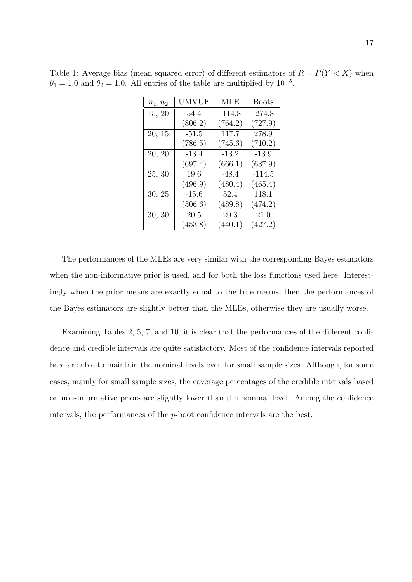| $n_1, n_2$     | UMVUE   | <b>MLE</b> | <b>Boots</b> |
|----------------|---------|------------|--------------|
| 15, 20         | 54.4    | $-114.8$   | $-274.8$     |
|                | (806.2) | (764.2)    | (727.9)      |
| 20, 15         | $-51.5$ | 117.7      | 278.9        |
|                | (786.5) | (745.6)    | (710.2)      |
| 20, 20         | $-13.4$ | $-13.2$    | $-13.9$      |
|                | (697.4) | (666.1)    | (637.9)      |
| $\bar{2}5, 30$ | 19.6    | $-48.4$    | $-114.5$     |
|                | (496.9) | (480.4)    | (465.4)      |
| 30, 25         | $-15.6$ | 52.4       | 118.1        |
|                | (506.6) | (489.8)    | (474.2)      |
| 30, 30         | 20.5    | 20.3       | 21.0         |

 $(453.8)$   $(440.1)$   $(427.2)$ 

Table 1: Average bias (mean squared error) of different estimators of  $R = P(Y < X)$  when  $\theta_1 = 1.0$  and  $\theta_2 = 1.0$ . All entries of the table are multiplied by 10<sup>-5</sup>.

The performances of the MLEs are very similar with the corresponding Bayes estimators when the non-informative prior is used, and for both the loss functions used here. Interestingly when the prior means are exactly equal to the true means, then the performances of the Bayes estimators are slightly better than the MLEs, otherwise they are usually worse.

Examining Tables 2, 5, 7, and 10, it is clear that the performances of the different confidence and credible intervals are quite satisfactory. Most of the confidence intervals reported here are able to maintain the nominal levels even for small sample sizes. Although, for some cases, mainly for small sample sizes, the coverage percentages of the credible intervals based on non-informative priors are slightly lower than the nominal level. Among the confidence intervals, the performances of the *p*-boot confidence intervals are the best.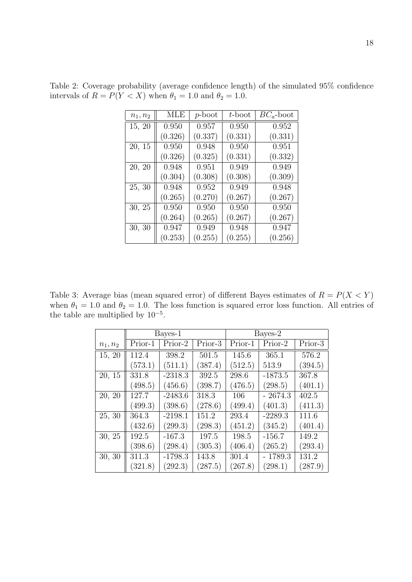| $n_1, n_2$ | <b>MLE</b> | $p\text{-boot}$ | $t$ -boot | $BC_a$ -boot |
|------------|------------|-----------------|-----------|--------------|
| 15, 20     | 0.950      | 0.957           | 0.950     | 0.952        |
|            | (0.326)    | (0.337)         | (0.331)   | (0.331)      |
| 20, 15     | 0.950      | 0.948           | 0.950     | 0.951        |
|            | (0.326)    | (0.325)         | (0.331)   | (0.332)      |
| 20, 20     | 0.948      | 0.951           | 0.949     | 0.949        |
|            | (0.304)    | (0.308)         | (0.308)   | (0.309)      |
| 25, 30     | 0.948      | 0.952           | 0.949     | 0.948        |
|            | (0.265)    | (0.270)         | (0.267)   | (0.267)      |
| 30, 25     | 0.950      | 0.950           | 0.950     | 0.950        |
|            | (0.264)    | (0.265)         | (0.267)   | (0.267)      |
| 30, 30     | 0.947      | 0.949           | 0.948     | 0.947        |
|            | (0.253)    | (0.255)         | (0.255)   | (0.256)      |

Table 2: Coverage probability (average confidence length) of the simulated 95% confidence intervals of  $R = P(Y < X)$  when  $\theta_1 = 1.0$  and  $\theta_2 = 1.0$ *.* 

Table 3: Average bias (mean squared error) of different Bayes estimates of  $R = P(X \le Y)$ when  $\theta_1 = 1.0$  and  $\theta_2 = 1.0$ . The loss function is squared error loss function. All entries of the table are multiplied by 10*−*<sup>5</sup> .

|            |         | Bayes-1   |         | Bayes-2                        |           |           |  |
|------------|---------|-----------|---------|--------------------------------|-----------|-----------|--|
| $n_1, n_2$ | Prior-1 | Prior-2   | Prior-3 | $\overline{\mathrm{Prior}}$ -1 | Prior-2   | $Prior-3$ |  |
| 15, 20     | 112.4   | 398.2     | 501.5   | 145.6                          | 365.1     | 576.2     |  |
|            | (573.1) | (511.1)   | (387.4) | (512.5)                        | 513.9     | (394.5)   |  |
| 20, 15     | 331.8   | $-2318.3$ | 392.5   | 298.6                          | $-1873.5$ | 367.8     |  |
|            | (498.5) | (456.6)   | (398.7) | (476.5)                        | (298.5)   | (401.1)   |  |
| 20, 20     | 127.7   | $-2483.6$ | 318.3   | 106                            | $-2674.3$ | 402.5     |  |
|            | (499.3) | (398.6)   | (278.6) | (499.4)                        | (401.3)   | (411.3)   |  |
| 25, 30     | 364.3   | $-2198.1$ | 151.2   | 293.4                          | $-2289.3$ | 111.6     |  |
|            | (432.6) | (299.3)   | (298.3) | (451.2)                        | (345.2)   | (401.4)   |  |
| 30, 25     | 192.5   | $-167.3$  | 197.5   | 198.5                          | $-156.7$  | 149.2     |  |
|            | (398.6) | (298.4)   | (305.3) | (406.4)                        | (265.2)   | (293.4)   |  |
| 30, 30     | 311.3   | $-1798.3$ | 143.8   | 301.4                          | $-1789.3$ | 131.2     |  |
|            | (321.8) | (292.3)   | (287.5) | (267.8)                        | (298.1)   | (287.9)   |  |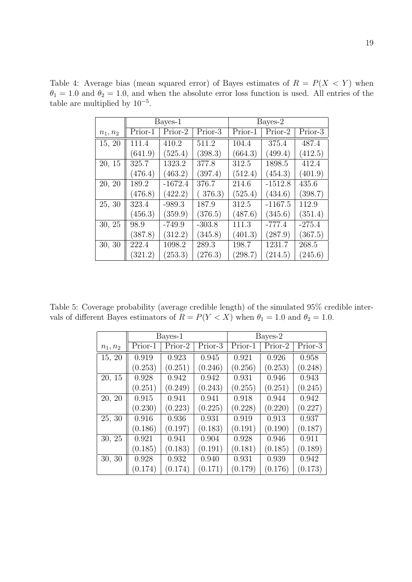|            |         | Bayes-1   |          | Bayes-2 |           |          |  |
|------------|---------|-----------|----------|---------|-----------|----------|--|
| $n_1, n_2$ | Prior-1 | Prior-2   | Prior-3  | Prior-1 | Prior-2   | Prior-3  |  |
| 15, 20     | 111.4   | 410.2     | 511.2    | 104.4   | 375.4     | 487.4    |  |
|            | (641.9) | (525.4)   | (398.3)  | (664.3) | (499.4)   | (412.5)  |  |
| 20, 15     | 325.7   | 1323.2    | 377.8    | 312.5   | 1898.5    | 412.4    |  |
|            | (476.4) | (463.2)   | (397.4)  | (512.4) | (454.3)   | (401.9)  |  |
| 20, 20     | 189.2   | $-1672.4$ | 376.7    | 214.6   | $-1512.8$ | 435.6    |  |
|            | (476.8) | (422.2)   | 376.3)   | (525.4) | (434.6)   | (398.7)  |  |
| 25, 30     | 323.4   | $-989.3$  | 187.9    | 312.5   | $-1167.5$ | 112.9    |  |
|            | (456.3) | (359.9)   | (376.5)  | (487.6) | (345.6)   | (351.4)  |  |
| 30, 25     | 98.9    | $-749.9$  | $-303.8$ | 111.3   | $-777.4$  | $-275.4$ |  |
|            | (387.8) | (312.2)   | (345.8)  | (401.3) | (287.9)   | (367.5)  |  |
| 30, 30     | 222.4   | 1098.2    | 289.3    | 198.7   | 1231.7    | 268.5    |  |
|            | (321.2) | (253.3)   | (276.3)  | (298.7) | (214.5)   | (245.6)  |  |

Table 4: Average bias (mean squared error) of Bayes estimates of  $R = P(X < Y)$  when  $\theta_1 = 1.0$  and  $\theta_2 = 1.0$ , and when the absolute error loss function is used. All entries of the table are multiplied by 10*−*<sup>5</sup> .

Table 5: Coverage probability (average credible length) of the simulated 95% credible intervals of different Bayes estimators of  $R = P(Y < X)$  when  $\theta_1 = 1.0$  and  $\theta_2 = 1.0$ .

|            |         | Bayes-1 |         | Bayes-2 |         |         |  |
|------------|---------|---------|---------|---------|---------|---------|--|
| $n_1, n_2$ | Prior-1 | Prior-2 | Prior-3 | Prior-1 | Prior-2 | Prior-3 |  |
| 15, 20     | 0.919   | 0.923   | 0.945   | 0.921   | 0.926   | 0.958   |  |
|            | (0.253) | (0.251) | (0.246) | (0.256) | (0.253) | (0.248) |  |
| 20, 15     | 0.928   | 0.942   | 0.942   | 0.931   | 0.946   | 0.943   |  |
|            | (0.251) | (0.249) | (0.243) | (0.255) | (0.251) | (0.245) |  |
| 20, 20     | 0.915   | 0.941   | 0.941   | 0.918   | 0.944   | 0.942   |  |
|            | (0.230) | (0.223) | (0.225) | (0.228) | (0.220) | (0.227) |  |
| 25, 30     | 0.916   | 0.936   | 0.931   | 0.919   | 0.913   | 0.937   |  |
|            | (0.186) | (0.197) | (0.183) | (0.191) | (0.190) | (0.187) |  |
| 30, 25     | 0.921   | 0.941   | 0.904   | 0.928   | 0.946   | 0.911   |  |
|            | (0.185) | (0.183) | (0.191) | (0.181) | (0.185) | (0.189) |  |
| 30, 30     | 0.928   | 0.932   | 0.940   | 0.931   | 0.939   | 0.942   |  |
|            | (0.174) | (0.174) | (0.171) | (0.179) | (0.176) | (0.173) |  |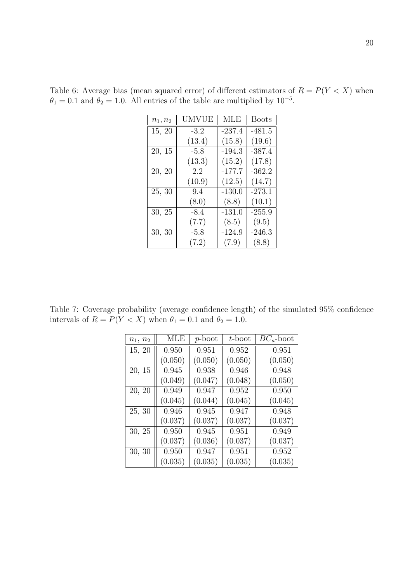| $n_1, n_2$ | UMVUE  | MLE      | <b>Boots</b> |
|------------|--------|----------|--------------|
| 15, 20     | $-3.2$ | $-237.4$ | $-481.5$     |
|            | (13.4) | (15.8)   | (19.6)       |
| 20, 15     | $-5.8$ | $-194.3$ | $-387.4$     |
|            | (13.3) | (15.2)   | (17.8)       |
| 20, 20     | 2.2    | $-177.7$ | $-362.2$     |
|            | (10.9) | (12.5)   | (14.7)       |
| 25, 30     | 9.4    | $-130.0$ | $-273.1$     |
|            | (8.0)  | (8.8)    | (10.1)       |
| 30, 25     | $-8.4$ | $-131.0$ | $-255.9$     |
|            | (7.7)  | (8.5)    | (9.5)        |
| 30, 30     | $-5.8$ | $-124.9$ | $-246.3$     |
|            | (7.2)  | (7.9)    | (8.8)        |

Table 6: Average bias (mean squared error) of different estimators of  $R = P(Y < X)$  when  $\theta_1 = 0.1$  and  $\theta_2 = 1.0$ . All entries of the table are multiplied by 10<sup>-5</sup>.

Table 7: Coverage probability (average confidence length) of the simulated 95% confidence intervals of  $R = P(Y < X)$  when  $\theta_1 = 0.1$  and  $\theta_2 = 1.0$ *.* 

| $n_1, n_2$ | MLE     | p-boot  | $t$ -boot | $BC_a$ -boot |
|------------|---------|---------|-----------|--------------|
| 15, 20     | 0.950   | 0.951   | 0.952     | 0.951        |
|            | (0.050) | (0.050) | (0.050)   | (0.050)      |
| 20, 15     | 0.945   | 0.938   | 0.946     | 0.948        |
|            | (0.049) | (0.047) | (0.048)   | (0.050)      |
| 20, 20     | 0.949   | 0.947   | 0.952     | 0.950        |
|            | (0.045) | (0.044) | (0.045)   | (0.045)      |
| 25, 30     | 0.946   | 0.945   | 0.947     | 0.948        |
|            | (0.037) | (0.037) | (0.037)   | (0.037)      |
| 30, 25     | 0.950   | 0.945   | 0.951     | 0.949        |
|            | (0.037) | (0.036) | (0.037)   | (0.037)      |
| 30, 30     | 0.950   | 0.947   | 0.951     | 0.952        |
|            | (0.035) | (0.035) | (0.035)   | (0.035)      |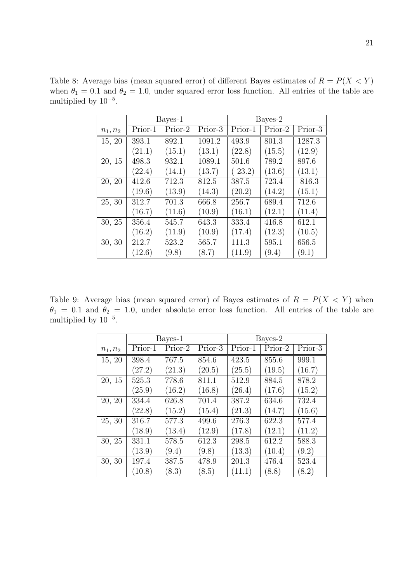|            |         | Bayes-1 |         | Bayes-2 |         |         |  |
|------------|---------|---------|---------|---------|---------|---------|--|
| $n_1, n_2$ | Prior-1 | Prior-2 | Prior-3 | Prior-1 | Prior-2 | Prior-3 |  |
| 15, 20     | 393.1   | 892.1   | 1091.2  | 493.9   | 801.3   | 1287.3  |  |
|            | (21.1)  | (15.1)  | (13.1)  | (22.8)  | (15.5)  | (12.9)  |  |
| 20, 15     | 498.3   | 932.1   | 1089.1  | 501.6   | 789.2   | 897.6   |  |
|            | (22.4)  | (14.1)  | (13.7)  | (23.2)  | (13.6)  | (13.1)  |  |
| 20, 20     | 412.6   | 712.3   | 812.5   | 387.5   | 723.4   | 816.3   |  |
|            | (19.6)  | (13.9)  | (14.3)  | (20.2)  | (14.2)  | (15.1)  |  |
| 25, 30     | 312.7   | 701.3   | 666.8   | 256.7   | 689.4   | 712.6   |  |
|            | (16.7)  | (11.6)  | (10.9)  | (16.1)  | (12.1)  | (11.4)  |  |
| 30, 25     | 356.4   | 545.7   | 643.3   | 333.4   | 416.8   | 612.1   |  |
|            | (16.2)  | (11.9)  | (10.9)  | (17.4)  | (12.3)  | (10.5)  |  |
| 30, 30     | 212.7   | 523.2   | 565.7   | 111.3   | 595.1   | 656.5   |  |
|            | (12.6)  | (9.8)   | (8.7)   | (11.9)  | (9.4)   | (9.1)   |  |

Table 8: Average bias (mean squared error) of different Bayes estimates of  $R = P(X \le Y)$ when  $\theta_1 = 0.1$  and  $\theta_2 = 1.0$ , under squared error loss function. All entries of the table are multiplied by 10*−*<sup>5</sup> .

Table 9: Average bias (mean squared error) of Bayes estimates of  $R = P(X < Y)$  when  $\theta_1 = 0.1$  and  $\theta_2 = 1.0$ , under absolute error loss function. All entries of the table are multiplied by 10*−*<sup>5</sup> .

|            |         | Bayes-1 |         | Bayes-2 |         |         |  |
|------------|---------|---------|---------|---------|---------|---------|--|
| $n_1, n_2$ | Prior-1 | Prior-2 | Prior-3 | Prior-1 | Prior-2 | Prior-3 |  |
| 15, 20     | 398.4   | 767.5   | 854.6   | 423.5   | 855.6   | 999.1   |  |
|            | (27.2)  | (21.3)  | (20.5)  | (25.5)  | (19.5)  | (16.7)  |  |
| 20, 15     | 525.3   | 778.6   | 811.1   | 512.9   | 884.5   | 878.2   |  |
|            | (25.9)  | (16.2)  | (16.8)  | (26.4)  | (17.6)  | (15.2)  |  |
| 20, 20     | 334.4   | 626.8   | 701.4   | 387.2   | 634.6   | 732.4   |  |
|            | (22.8)  | (15.2)  | (15.4)  | (21.3)  | (14.7)  | (15.6)  |  |
| 25, 30     | 316.7   | 577.3   | 499.6   | 276.3   | 622.3   | 577.4   |  |
|            | (18.9)  | (13.4)  | (12.9)  | (17.8)  | (12.1)  | (11.2)  |  |
| 30, 25     | 331.1   | 578.5   | 612.3   | 298.5   | 612.2   | 588.3   |  |
|            | (13.9)  | (9.4)   | (9.8)   | (13.3)  | (10.4)  | (9.2)   |  |
| 30, 30     | 197.4   | 387.5   | 478.9   | 201.3   | 476.4   | 523.4   |  |
|            | (10.8)  | (8.3)   | (8.5)   | (11.1)  | (8.8)   | (8.2)   |  |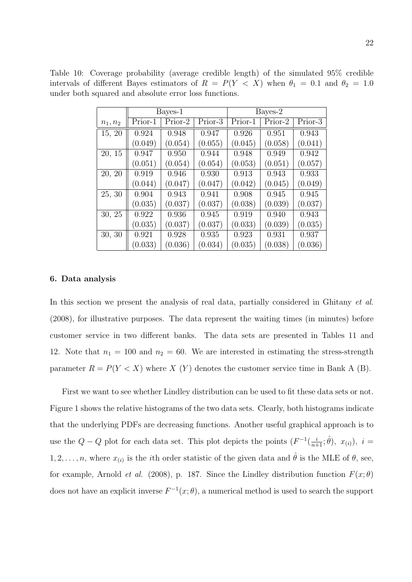|  | Table 10: Coverage probability (average credible length) of the simulated $95\%$ credible              |  |  |  |  |
|--|--------------------------------------------------------------------------------------------------------|--|--|--|--|
|  | intervals of different Bayes estimators of $R = P(Y \le X)$ when $\theta_1 = 0.1$ and $\theta_2 = 1.0$ |  |  |  |  |
|  | under both squared and absolute error loss functions.                                                  |  |  |  |  |

|            |         | Bayes-1 |         | Bayes-2 |         |         |  |
|------------|---------|---------|---------|---------|---------|---------|--|
| $n_1, n_2$ | Prior-1 | Prior-2 | Prior-3 | Prior-1 | Prior-2 | Prior-3 |  |
| 15, 20     | 0.924   | 0.948   | 0.947   | 0.926   | 0.951   | 0.943   |  |
|            | (0.049) | (0.054) | (0.055) | (0.045) | (0.058) | (0.041) |  |
| 20, 15     | 0.947   | 0.950   | 0.944   | 0.948   | 0.949   | 0.942   |  |
|            | (0.051) | (0.054) | (0.054) | (0.053) | (0.051) | (0.057) |  |
| 20, 20     | 0.919   | 0.946   | 0.930   | 0.913   | 0.943   | 0.933   |  |
|            | (0.044) | (0.047) | (0.047) | (0.042) | (0.045) | (0.049) |  |
| 25, 30     | 0.904   | 0.943   | 0.941   | 0.908   | 0.945   | 0.945   |  |
|            | (0.035) | (0.037) | (0.037) | (0.038) | (0.039) | (0.037) |  |
| 30, 25     | 0.922   | 0.936   | 0.945   | 0.919   | 0.940   | 0.943   |  |
|            | (0.035) | (0.037) | (0.037) | (0.033) | (0.039) | (0.035) |  |
| 30, 30     | 0.921   | 0.928   | 0.935   | 0.923   | 0.931   | 0.937   |  |
|            | (0.033) | (0.036) | (0.034) | (0.035) | (0.038) | (0.036) |  |

#### **6. Data analysis**

In this section we present the analysis of real data, partially considered in Ghitany *et al.* (2008), for illustrative purposes. The data represent the waiting times (in minutes) before customer service in two different banks. The data sets are presented in Tables 11 and 12. Note that  $n_1 = 100$  and  $n_2 = 60$ . We are interested in estimating the stress-strength parameter  $R = P(Y < X)$  where *X* (*Y*) denotes the customer service time in Bank A (B).

First we want to see whether Lindley distribution can be used to fit these data sets or not. Figure 1 shows the relative histograms of the two data sets. Clearly, both histograms indicate that the underlying PDFs are decreasing functions. Another useful graphical approach is to use the  $Q - Q$  plot for each data set. This plot depicts the points  $(F^{-1}(\frac{i}{n+1}; \hat{\theta}), x_{(i)})$ ,  $i =$  $1, 2, \ldots, n$ , where  $x_{(i)}$  is the *i*<sup>th</sup> order statistic of the given data and  $\hat{\theta}$  is the MLE of  $\theta$ , see, for example, Arnold *et al.* (2008), p. 187. Since the Lindley distribution function  $F(x; \theta)$ does not have an explicit inverse  $F^{-1}(x; \theta)$ , a numerical method is used to search the support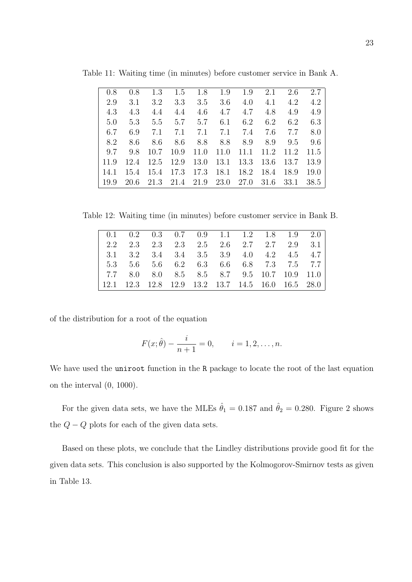| 0.8  | 0.8                                         |     | 1.3 1.5 1.8 1.9 1.9                          |         |     |                           |     | 2.1 2.6 2.7          |      |
|------|---------------------------------------------|-----|----------------------------------------------|---------|-----|---------------------------|-----|----------------------|------|
| 2.9  | 3.1                                         |     | $3.2 \quad 3.3$                              | 3.5     |     | $3.6 \quad 4.0 \quad 4.1$ |     | 4.2                  | 4.2  |
| 4.3  | 4.3                                         | 4.4 | 4.4                                          | 4.6     |     | $4.7\quad 4.7$            | 4.8 | 4.9                  | 4.9  |
| 5.0  |                                             |     | $5.3$ $5.5$ $5.7$ $5.7$                      |         |     | 6.1 6.2                   |     | $6.2\phantom{00}6.2$ | 6.3  |
| 6.7  | 6.9                                         |     | 7.1 7.1 7.1 7.1 7.4 7.6 7.7                  |         |     |                           |     |                      | 8.0  |
| 8.2  | 8.6                                         | 8.6 |                                              | 8.6 8.8 | 8.8 | 8.9                       | 8.9 | 9.5                  | 9.6  |
| 9.7  | 9.8 10.7 10.9 11.0 11.0 11.1 11.2 11.2 11.5 |     |                                              |         |     |                           |     |                      |      |
| 11.9 |                                             |     | 12.4 12.5 12.9 13.0 13.1 13.3 13.6 13.7 13.9 |         |     |                           |     |                      |      |
| 14.1 | 15.4 15.4 17.3 17.3 18.1 18.2 18.4 18.9     |     |                                              |         |     |                           |     |                      | 19.0 |
| 19.9 |                                             |     | 20.6 21.3 21.4 21.9 23.0 27.0 31.6           |         |     |                           |     | 33.1                 | 38.5 |

Table 11: Waiting time (in minutes) before customer service in Bank A.

Table 12: Waiting time (in minutes) before customer service in Bank B.

|  | $\begin{array}{cccccc} \n\end{array}$ 0.1 0.2 0.3 0.7 0.9 1.1 1.2 1.8 1.9 2.0 |  |  |  |  |
|--|-------------------------------------------------------------------------------|--|--|--|--|
|  | 2.2 2.3 2.3 2.3 2.5 2.6 2.7 2.7 2.9 3.1                                       |  |  |  |  |
|  | 3.1 3.2 3.4 3.4 3.5 3.9 4.0 4.2 4.5 4.7                                       |  |  |  |  |
|  | 5.3 5.6 5.6 6.2 6.3 6.6 6.8 7.3 7.5 7.7                                       |  |  |  |  |
|  | 7.7 8.0 8.0 8.5 8.5 8.7 9.5 10.7 10.9 11.0                                    |  |  |  |  |
|  | $\vert$ 12.1 12.3 12.8 12.9 13.2 13.7 14.5 16.0 16.5 28.0                     |  |  |  |  |
|  |                                                                               |  |  |  |  |

of the distribution for a root of the equation

$$
F(x; \hat{\theta}) - \frac{i}{n+1} = 0, \quad i = 1, 2, \dots, n.
$$

We have used the uniroot function in the R package to locate the root of the last equation on the interval (0, 1000).

For the given data sets, we have the MLEs  $\hat{\theta}_1 = 0.187$  and  $\hat{\theta}_2 = 0.280$ . Figure 2 shows the  $Q - Q$  plots for each of the given data sets.

Based on these plots, we conclude that the Lindley distributions provide good fit for the given data sets. This conclusion is also supported by the Kolmogorov-Smirnov tests as given in Table 13.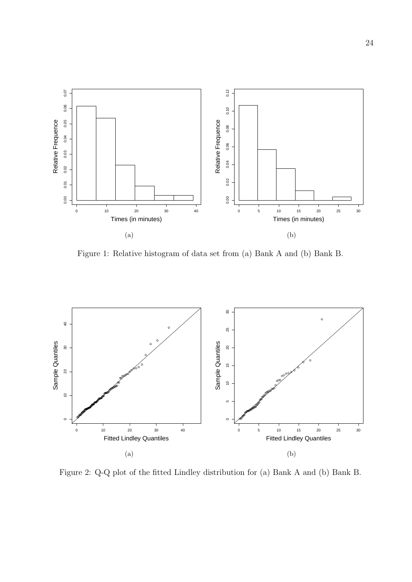

Figure 1: Relative histogram of data set from (a) Bank A and (b) Bank B.



Figure 2: Q-Q plot of the fitted Lindley distribution for (a) Bank A and (b) Bank B.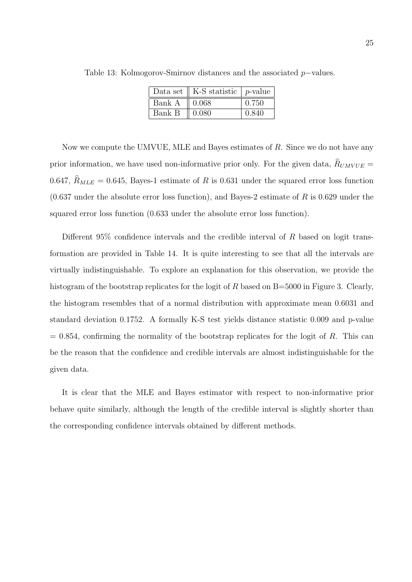|        | Data set $\parallel$ K-S statistic $\parallel$ p-value |       |
|--------|--------------------------------------------------------|-------|
| Bank A | $\parallel 0.068$                                      | 0.750 |
| Bank B | $\parallel 0.080$                                      | 0.840 |

Table 13: Kolmogorov-Smirnov distances and the associated *p−*values.

Now we compute the UMVUE, MLE and Bayes estimates of *R*. Since we do not have any prior information, we have used non-informative prior only. For the given data,  $R_{UMVUE}$  = 0.647,  $\hat{R}_{MLE} = 0.645$ , Bayes-1 estimate of R is 0.631 under the squared error loss function (0.637 under the absolute error loss function), and Bayes-2 estimate of *R* is 0.629 under the squared error loss function (0.633 under the absolute error loss function).

Different 95% confidence intervals and the credible interval of *R* based on logit transformation are provided in Table 14. It is quite interesting to see that all the intervals are virtually indistinguishable. To explore an explanation for this observation, we provide the histogram of the bootstrap replicates for the logit of *R* based on B=5000 in Figure 3. Clearly, the histogram resembles that of a normal distribution with approximate mean 0.6031 and standard deviation 0.1752. A formally K-S test yields distance statistic 0.009 and p-value  $= 0.854$ , confirming the normality of the bootstrap replicates for the logit of *R*. This can be the reason that the confidence and credible intervals are almost indistinguishable for the given data.

It is clear that the MLE and Bayes estimator with respect to non-informative prior behave quite similarly, although the length of the credible interval is slightly shorter than the corresponding confidence intervals obtained by different methods.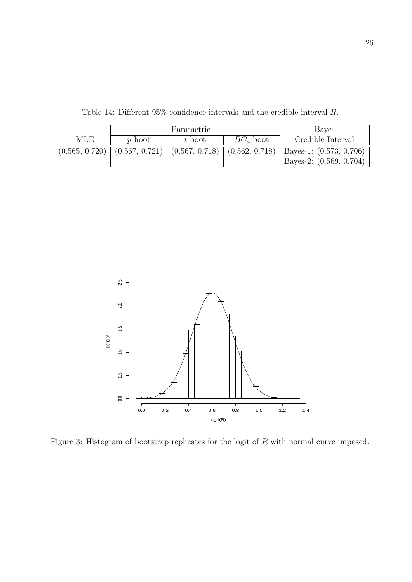|            |                 | Parametric | <b>Bayes</b> |                                                                                               |  |
|------------|-----------------|------------|--------------|-----------------------------------------------------------------------------------------------|--|
| <b>MLE</b> | $p\text{-boot}$ | t-boot     | $BC_a$ -boot | Credible Interval                                                                             |  |
|            |                 |            |              | $(0.565, 0.720)$ $(0.567, 0.721)$ $(0.567, 0.718)$ $(0.562, 0.718)$ Bayes-1: $(0.573, 0.706)$ |  |
|            |                 |            |              | Bayes-2: $(0.569, 0.704)$                                                                     |  |

Table 14: Different 95% confidence intervals and the credible interval *R.*



Figure 3: Histogram of bootstrap replicates for the logit of *R* with normal curve imposed.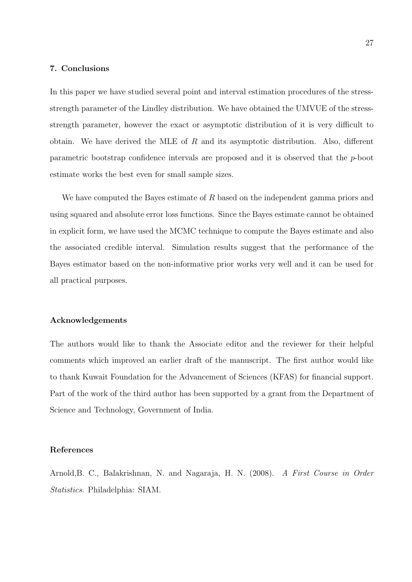# **7. Conclusions**

In this paper we have studied several point and interval estimation procedures of the stressstrength parameter of the Lindley distribution. We have obtained the UMVUE of the stressstrength parameter, however the exact or asymptotic distribution of it is very difficult to obtain. We have derived the MLE of *R* and its asymptotic distribution. Also, different parametric bootstrap confidence intervals are proposed and it is observed that the *p*-boot estimate works the best even for small sample sizes.

We have computed the Bayes estimate of *R* based on the independent gamma priors and using squared and absolute error loss functions. Since the Bayes estimate cannot be obtained in explicit form, we have used the MCMC technique to compute the Bayes estimate and also the associated credible interval. Simulation results suggest that the performance of the Bayes estimator based on the non-informative prior works very well and it can be used for all practical purposes.

# **Acknowledgements**

The authors would like to thank the Associate editor and the reviewer for their helpful comments which improved an earlier draft of the manuscript. The first author would like to thank Kuwait Foundation for the Advancement of Sciences (KFAS) for financial support. Part of the work of the third author has been supported by a grant from the Department of Science and Technology, Government of India.

## **References**

Arnold,B. C., Balakrishnan, N. and Nagaraja, H. N. (2008). *A First Course in Order Statistics.* Philadelphia: SIAM.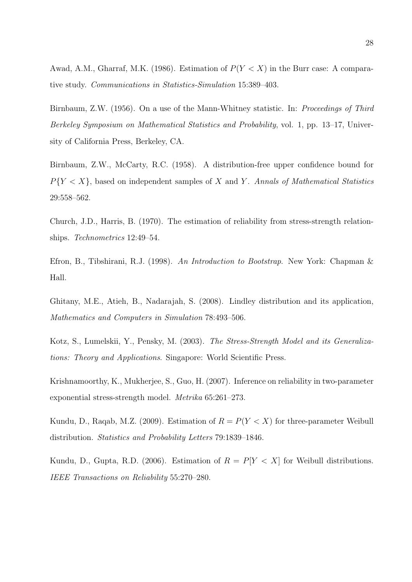Awad, A.M., Gharraf, M.K. (1986). Estimation of  $P(Y < X)$  in the Burr case: A comparative study. *Communications in Statistics-Simulation* 15:389–403.

Birnbaum, Z.W. (1956). On a use of the Mann-Whitney statistic. In: *Proceedings of Third Berkeley Symposium on Mathematical Statistics and Probability*, vol. 1, pp. 13–17, University of California Press, Berkeley, CA.

Birnbaum, Z.W., McCarty, R.C. (1958). A distribution-free upper confidence bound for *P{Y < X},* based on independent samples of *X* and *Y* . *Annals of Mathematical Statistics* 29:558–562.

Church, J.D., Harris, B. (1970). The estimation of reliability from stress-strength relationships. *Technometrics* 12:49–54.

Efron, B., Tibshirani, R.J. (1998). *An Introduction to Bootstrap*. New York: Chapman & Hall.

Ghitany, M.E., Atieh, B., Nadarajah, S. (2008). Lindley distribution and its application, *Mathematics and Computers in Simulation* 78:493–506.

Kotz, S., Lumelskii, Y., Pensky, M. (2003). *The Stress-Strength Model and its Generalizations: Theory and Applications*. Singapore: World Scientific Press.

Krishnamoorthy, K., Mukherjee, S., Guo, H. (2007). Inference on reliability in two-parameter exponential stress-strength model. *Metrika* 65:261–273.

Kundu, D., Raqab, M.Z. (2009). Estimation of  $R = P(Y < X)$  for three-parameter Weibull distribution. *Statistics and Probability Letters* 79:1839–1846.

Kundu, D., Gupta, R.D. (2006). Estimation of  $R = P[Y < X]$  for Weibull distributions. *IEEE Transactions on Reliability* 55:270–280.